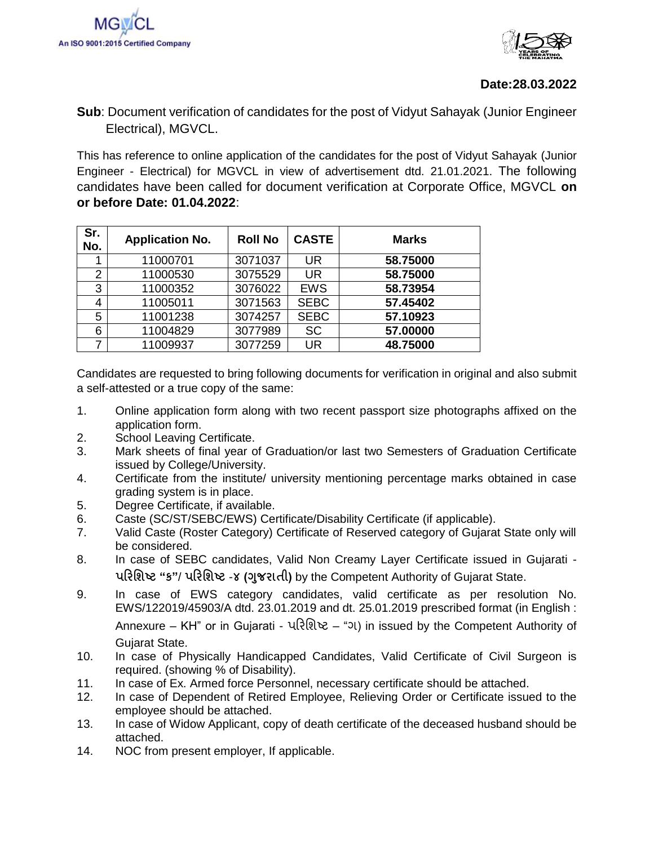

## **Date:28.03.2022**

## **Sub**: Document verification of candidates for the post of Vidyut Sahayak (Junior Engineer Electrical), MGVCL.

This has reference to online application of the candidates for the post of Vidyut Sahayak (Junior Engineer - Electrical) for MGVCL in view of advertisement dtd. 21.01.2021. The following candidates have been called for document verification at Corporate Office, MGVCL **on or before Date: 01.04.2022**:

| Sr.<br>No.     | <b>Application No.</b> | <b>Roll No</b> | <b>CASTE</b> | <b>Marks</b> |
|----------------|------------------------|----------------|--------------|--------------|
| 1              | 11000701               | 3071037        | <b>UR</b>    | 58.75000     |
| $\overline{2}$ | 11000530               | 3075529        | <b>UR</b>    | 58.75000     |
| 3              | 11000352               | 3076022        | <b>EWS</b>   | 58.73954     |
| 4              | 11005011               | 3071563        | <b>SEBC</b>  | 57.45402     |
| 5              | 11001238               | 3074257        | <b>SEBC</b>  | 57.10923     |
| 6              | 11004829               | 3077989        | <b>SC</b>    | 57.00000     |
| 7              | 11009937               | 3077259        | <b>UR</b>    | 48.75000     |

Candidates are requested to bring following documents for verification in original and also submit a self-attested or a true copy of the same:

- 1. Online application form along with two recent passport size photographs affixed on the application form.
- 2. School Leaving Certificate.
- 3. Mark sheets of final year of Graduation/or last two Semesters of Graduation Certificate issued by College/University.
- 4. Certificate from the institute/ university mentioning percentage marks obtained in case grading system is in place.
- 5. Degree Certificate, if available.
- 6. Caste (SC/ST/SEBC/EWS) Certificate/Disability Certificate (if applicable).
- 7. Valid Caste (Roster Category) Certificate of Reserved category of Gujarat State only will be considered.
- 8. In case of SEBC candidates, Valid Non Creamy Layer Certificate issued in Gujarati **પરિશિષ્ટ "ક"**/ **પરિશિષ્ટ** -**૪ (ગજુ િાતી)** by the Competent Authority of Gujarat State.
- 9. In case of EWS category candidates, valid certificate as per resolution No. EWS/122019/45903/A dtd. 23.01.2019 and dt. 25.01.2019 prescribed format (in English : Annexure – KH" or in Gujarati - પરિશિષ્ટ – "ગ) in issued by the Competent Authority of Gujarat State.
- 10. In case of Physically Handicapped Candidates, Valid Certificate of Civil Surgeon is required. (showing % of Disability).
- 11. In case of Ex. Armed force Personnel, necessary certificate should be attached.
- 12. In case of Dependent of Retired Employee, Relieving Order or Certificate issued to the employee should be attached.
- 13. In case of Widow Applicant, copy of death certificate of the deceased husband should be attached.
- 14. NOC from present employer, If applicable.